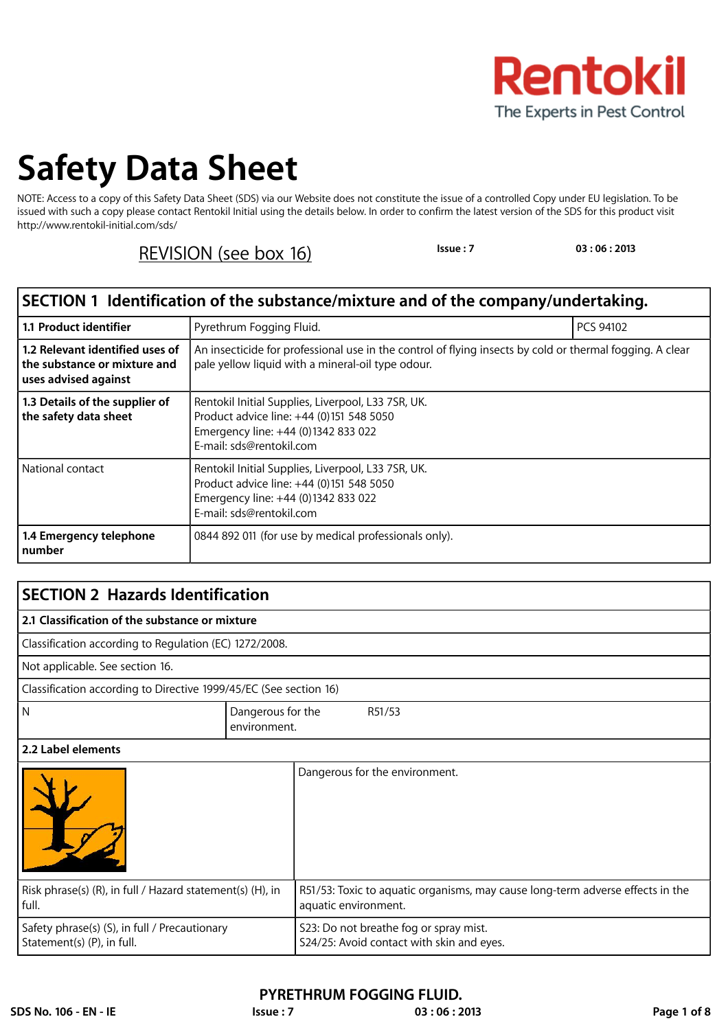

# **Safety Data Sheet**

NOTE: Access to a copy of this Safety Data Sheet (SDS) via our Website does not constitute the issue of a controlled Copy under EU legislation. To be issued with such a copy please contact Rentokil Initial using the details below. In order to confirm the latest version of the SDS for this product visit http://www.rentokil-initial.com/sds/

REVISION (see box 16) **Issue : 7 03 : 06 : 2013**

#### **SECTION 1 Identification of the substance/mixture and of the company/undertaking. 1.1 Product identifier** Pyrethrum Fogging Fluid. PCS 94102 **1.2 Relevant identified uses of the substance or mixture and uses advised against** An insecticide for professional use in the control of flying insects by cold or thermal fogging. A clear pale yellow liquid with a mineral-oil type odour. **1.3 Details of the supplier of the safety data sheet** Rentokil Initial Supplies, Liverpool, L33 7SR, UK. Product advice line: +44 (0)151 548 5050 Emergency line: +44 (0)1342 833 022 E-mail: sds@rentokil.com National contact **Rentokil Initial Supplies, Liverpool, L33 7SR, UK.** Product advice line: +44 (0)151 548 5050 Emergency line: +44 (0)1342 833 022 E-mail: sds@rentokil.com **1.4 Emergency telephone number** 0844 892 011 (for use by medical professionals only).

| <b>SECTION 2 Hazards Identification</b>                                     |                                             |                                                                                                        |  |
|-----------------------------------------------------------------------------|---------------------------------------------|--------------------------------------------------------------------------------------------------------|--|
| 2.1 Classification of the substance or mixture                              |                                             |                                                                                                        |  |
| Classification according to Regulation (EC) 1272/2008.                      |                                             |                                                                                                        |  |
| Not applicable. See section 16.                                             |                                             |                                                                                                        |  |
| Classification according to Directive 1999/45/EC (See section 16)           |                                             |                                                                                                        |  |
| N                                                                           | Dangerous for the<br>R51/53<br>environment. |                                                                                                        |  |
| 2.2 Label elements                                                          |                                             |                                                                                                        |  |
|                                                                             |                                             | Dangerous for the environment.                                                                         |  |
| Risk phrase(s) (R), in full / Hazard statement(s) (H), in<br>full.          |                                             | R51/53: Toxic to aquatic organisms, may cause long-term adverse effects in the<br>aquatic environment. |  |
| Safety phrase(s) (S), in full / Precautionary<br>Statement(s) (P), in full. |                                             | S23: Do not breathe fog or spray mist.<br>S24/25: Avoid contact with skin and eyes.                    |  |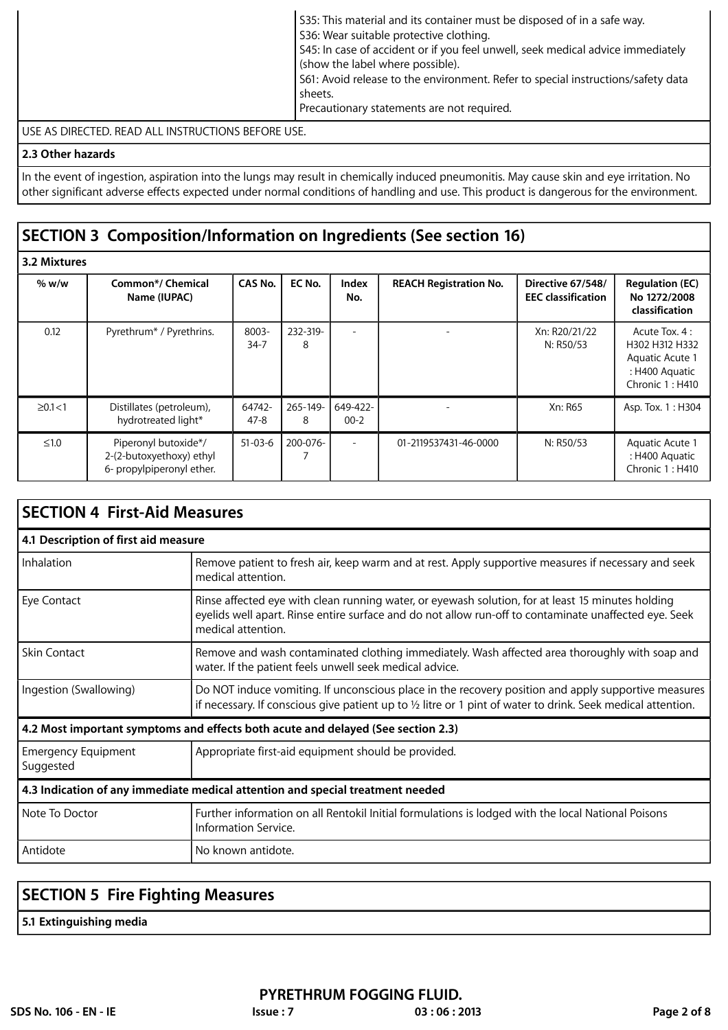|                                                   | S35: This material and its container must be disposed of in a safe way.<br>S36: Wear suitable protective clothing.<br>S45: In case of accident or if you feel unwell, seek medical advice immediately<br>(show the label where possible).<br>S61: Avoid release to the environment. Refer to special instructions/safety data<br>sheets.<br>Precautionary statements are not required. |
|---------------------------------------------------|----------------------------------------------------------------------------------------------------------------------------------------------------------------------------------------------------------------------------------------------------------------------------------------------------------------------------------------------------------------------------------------|
| THE AC DIDECTED DEAD ALL INCTDUCTIONIC DEEODE HEE |                                                                                                                                                                                                                                                                                                                                                                                        |

USE AS DIRECTED. READ ALL INSTRUCTIONS BEFORE USE.

#### **2.3 Other hazards**

In the event of ingestion, aspiration into the lungs may result in chemically induced pneumonitis. May cause skin and eye irritation. No other significant adverse effects expected under normal conditions of handling and use. This product is dangerous for the environment.

## **SECTION 3 Composition/Information on Ingredients (See section 16)**

**3.2 Mixtures**

| % w/w          | Common*/ Chemical<br>Name (IUPAC)                                             | CAS No.            | EC No.        | Index<br>No.                 | <b>REACH Registration No.</b> | Directive 67/548/<br><b>EEC</b> classification | <b>Regulation (EC)</b><br>No 1272/2008<br>classification                                |
|----------------|-------------------------------------------------------------------------------|--------------------|---------------|------------------------------|-------------------------------|------------------------------------------------|-----------------------------------------------------------------------------------------|
| 0.12           | Pyrethrum* / Pyrethrins.                                                      | 8003-<br>$34 - 7$  | 232-319-<br>8 | $\overline{\phantom{a}}$     |                               | Xn: R20/21/22<br>N: R50/53                     | Acute Tox. 4:<br>H302 H312 H332<br>Aquatic Acute 1<br>: H400 Aquatic<br>Chronic 1: H410 |
| $\geq 0.1 < 1$ | Distillates (petroleum),<br>hydrotreated light*                               | 64742-<br>$47 - 8$ | 265-149-<br>8 | 649-422-<br>$00-2$           |                               | Xn: R65                                        | Asp. Tox. 1: H304                                                                       |
| $\leq 1.0$     | Piperonyl butoxide*/<br>2-(2-butoxyethoxy) ethyl<br>6- propylpiperonyl ether. | $51 - 03 - 6$      | 200-076-      | $\qquad \qquad \blacksquare$ | 01-2119537431-46-0000         | N: R50/53                                      | Aquatic Acute 1<br>: H400 Aquatic<br>Chronic 1: H410                                    |

| <b>SECTION 4 First-Aid Measures</b> |  |  |
|-------------------------------------|--|--|
|-------------------------------------|--|--|

## **4.1 Description of first aid measure**

| Inhalation                                                                     | Remove patient to fresh air, keep warm and at rest. Apply supportive measures if necessary and seek<br>medical attention.                                                                                                        |  |
|--------------------------------------------------------------------------------|----------------------------------------------------------------------------------------------------------------------------------------------------------------------------------------------------------------------------------|--|
| Eye Contact                                                                    | Rinse affected eye with clean running water, or eyewash solution, for at least 15 minutes holding<br>eyelids well apart. Rinse entire surface and do not allow run-off to contaminate unaffected eye. Seek<br>medical attention. |  |
| <b>Skin Contact</b>                                                            | Remove and wash contaminated clothing immediately. Wash affected area thoroughly with soap and<br>water. If the patient feels unwell seek medical advice.                                                                        |  |
| Ingestion (Swallowing)                                                         | Do NOT induce vomiting. If unconscious place in the recovery position and apply supportive measures<br>if necessary. If conscious give patient up to $\frac{1}{2}$ litre or 1 pint of water to drink. Seek medical attention.    |  |
|                                                                                | 4.2 Most important symptoms and effects both acute and delayed (See section 2.3)                                                                                                                                                 |  |
| <b>Emergency Equipment</b><br>Suggested                                        | Appropriate first-aid equipment should be provided.                                                                                                                                                                              |  |
| 4.3 Indication of any immediate medical attention and special treatment needed |                                                                                                                                                                                                                                  |  |
| Note To Doctor                                                                 | Further information on all Rentokil Initial formulations is lodged with the local National Poisons<br>Information Service.                                                                                                       |  |
| Antidote                                                                       | No known antidote.                                                                                                                                                                                                               |  |

| <b>SECTION 5 Fire Fighting Measures</b> |
|-----------------------------------------|
| 5.1 Extinguishing media                 |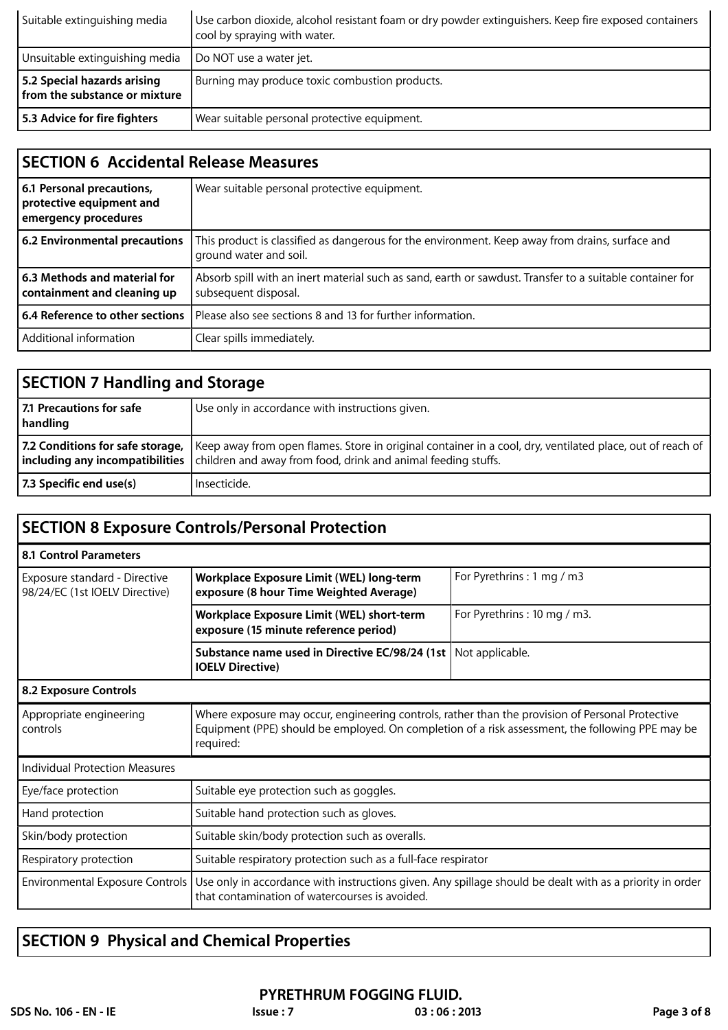| Suitable extinguishing media                                 | Use carbon dioxide, alcohol resistant foam or dry powder extinguishers. Keep fire exposed containers<br>cool by spraying with water. |
|--------------------------------------------------------------|--------------------------------------------------------------------------------------------------------------------------------------|
| Unsuitable extinguishing media                               | Do NOT use a water jet.                                                                                                              |
| 5.2 Special hazards arising<br>from the substance or mixture | Burning may produce toxic combustion products.                                                                                       |
| 5.3 Advice for fire fighters                                 | Wear suitable personal protective equipment.                                                                                         |

## **SECTION 6 Accidental Release Measures**

| 6.1 Personal precautions,<br>protective equipment and<br>emergency procedures | Wear suitable personal protective equipment.                                                                                     |
|-------------------------------------------------------------------------------|----------------------------------------------------------------------------------------------------------------------------------|
| 6.2 Environmental precautions                                                 | This product is classified as dangerous for the environment. Keep away from drains, surface and<br>ground water and soil.        |
| 5.3 Methods and material for<br>containment and cleaning up                   | Absorb spill with an inert material such as sand, earth or sawdust. Transfer to a suitable container for<br>subsequent disposal. |
| $\vert$ 6.4 Reference to other sections                                       | Please also see sections 8 and 13 for further information.                                                                       |
| Additional information                                                        | Clear spills immediately.                                                                                                        |

| <b>SECTION 7 Handling and Storage</b> |                                                                                                                                                                                                                                              |  |
|---------------------------------------|----------------------------------------------------------------------------------------------------------------------------------------------------------------------------------------------------------------------------------------------|--|
| 7.1 Precautions for safe<br>handling  | Use only in accordance with instructions given.                                                                                                                                                                                              |  |
| 7.2 Conditions for safe storage,      | Keep away from open flames. Store in original container in a cool, dry, ventilated place, out of reach of<br>$\left  \right $ including any incompatibilities $\left  \right $ children and away from food, drink and animal feeding stuffs. |  |
| 7.3 Specific end use(s)               | Insecticide.                                                                                                                                                                                                                                 |  |

| <b>SECTION 8 Exposure Controls/Personal Protection</b>          |                                                                                                                                                                                                                   |                             |  |
|-----------------------------------------------------------------|-------------------------------------------------------------------------------------------------------------------------------------------------------------------------------------------------------------------|-----------------------------|--|
| <b>8.1 Control Parameters</b>                                   |                                                                                                                                                                                                                   |                             |  |
| Exposure standard - Directive<br>98/24/EC (1st IOELV Directive) | Workplace Exposure Limit (WEL) long-term<br>exposure (8 hour Time Weighted Average)                                                                                                                               | For Pyrethrins : 1 mg / m3  |  |
|                                                                 | Workplace Exposure Limit (WEL) short-term<br>exposure (15 minute reference period)                                                                                                                                | For Pyrethrins: 10 mg / m3. |  |
|                                                                 | Substance name used in Directive EC/98/24 (1st<br><b>IOELV Directive)</b>                                                                                                                                         | Not applicable.             |  |
| <b>8.2 Exposure Controls</b>                                    |                                                                                                                                                                                                                   |                             |  |
| Appropriate engineering<br>controls                             | Where exposure may occur, engineering controls, rather than the provision of Personal Protective<br>Equipment (PPE) should be employed. On completion of a risk assessment, the following PPE may be<br>required: |                             |  |
| Individual Protection Measures                                  |                                                                                                                                                                                                                   |                             |  |
| Eye/face protection                                             | Suitable eye protection such as goggles.                                                                                                                                                                          |                             |  |
| Hand protection                                                 | Suitable hand protection such as gloves.                                                                                                                                                                          |                             |  |
| Skin/body protection                                            | Suitable skin/body protection such as overalls.                                                                                                                                                                   |                             |  |
| Respiratory protection                                          | Suitable respiratory protection such as a full-face respirator                                                                                                                                                    |                             |  |
| Environmental Exposure Controls                                 | Use only in accordance with instructions given. Any spillage should be dealt with as a priority in order<br>that contamination of watercourses is avoided.                                                        |                             |  |

# **SECTION 9 Physical and Chemical Properties**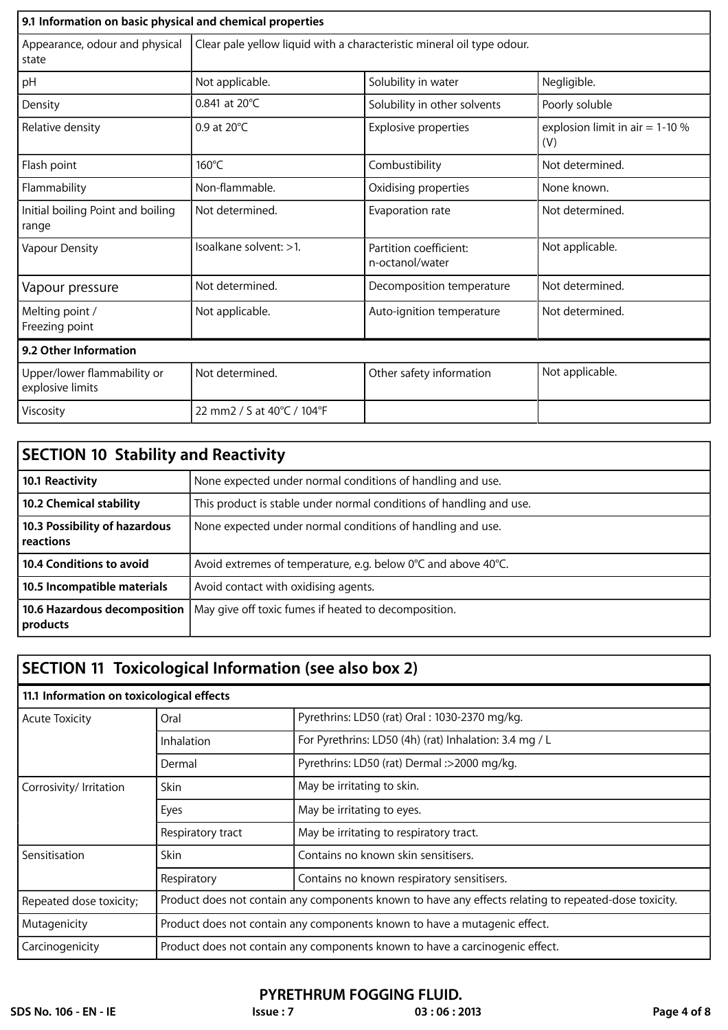| 9.1 Information on basic physical and chemical properties |                                                                        |                                           |                                          |
|-----------------------------------------------------------|------------------------------------------------------------------------|-------------------------------------------|------------------------------------------|
| Appearance, odour and physical<br>state                   | Clear pale yellow liquid with a characteristic mineral oil type odour. |                                           |                                          |
| pH                                                        | Not applicable.                                                        | Solubility in water                       | Negligible.                              |
| Density                                                   | 0.841 at 20°C                                                          | Solubility in other solvents              | Poorly soluble                           |
| Relative density                                          | $0.9$ at $20^{\circ}$ C                                                | <b>Explosive properties</b>               | explosion limit in air $= 1-10$ %<br>(V) |
| Flash point                                               | 160°C                                                                  | Combustibility                            | Not determined.                          |
| Flammability                                              | Non-flammable.                                                         | Oxidising properties                      | None known.                              |
| Initial boiling Point and boiling<br>range                | Not determined.                                                        | Evaporation rate                          | Not determined.                          |
| Vapour Density                                            | Isoalkane solvent: >1.                                                 | Partition coefficient:<br>n-octanol/water | Not applicable.                          |
| Vapour pressure                                           | Not determined.                                                        | Decomposition temperature                 | Not determined.                          |
| Melting point /<br>Freezing point                         | Not applicable.                                                        | Auto-ignition temperature                 | Not determined.                          |
| 9.2 Other Information                                     |                                                                        |                                           |                                          |
| Upper/lower flammability or<br>explosive limits           | Not determined.                                                        | Other safety information                  | Not applicable.                          |
| Viscosity                                                 | 22 mm2 / S at 40°C / 104°F                                             |                                           |                                          |

| <b>SECTION 10 Stability and Reactivity</b> |                                                                     |  |
|--------------------------------------------|---------------------------------------------------------------------|--|
| 10.1 Reactivity                            | None expected under normal conditions of handling and use.          |  |
| <b>10.2 Chemical stability</b>             | This product is stable under normal conditions of handling and use. |  |
| 10.3 Possibility of hazardous<br>reactions | None expected under normal conditions of handling and use.          |  |
| <b>10.4 Conditions to avoid</b>            | Avoid extremes of temperature, e.g. below 0°C and above 40°C.       |  |
| 10.5 Incompatible materials                | Avoid contact with oxidising agents.                                |  |
| 10.6 Hazardous decomposition<br>products   | May give off toxic fumes if heated to decomposition.                |  |

| <b>SECTION 11 Toxicological Information (see also box 2)</b> |                                                                                                       |                                                        |  |
|--------------------------------------------------------------|-------------------------------------------------------------------------------------------------------|--------------------------------------------------------|--|
| 11.1 Information on toxicological effects                    |                                                                                                       |                                                        |  |
| <b>Acute Toxicity</b>                                        | Oral                                                                                                  | Pyrethrins: LD50 (rat) Oral : 1030-2370 mg/kg.         |  |
|                                                              | <b>Inhalation</b>                                                                                     | For Pyrethrins: LD50 (4h) (rat) Inhalation: 3.4 mg / L |  |
|                                                              | Dermal                                                                                                | Pyrethrins: LD50 (rat) Dermal :>2000 mg/kg.            |  |
| Corrosivity/ Irritation                                      | Skin                                                                                                  | May be irritating to skin.                             |  |
|                                                              | Eyes                                                                                                  | May be irritating to eyes.                             |  |
|                                                              | Respiratory tract                                                                                     | May be irritating to respiratory tract.                |  |
| Sensitisation                                                | <b>Skin</b>                                                                                           | Contains no known skin sensitisers.                    |  |
|                                                              | Respiratory                                                                                           | Contains no known respiratory sensitisers.             |  |
| Repeated dose toxicity;                                      | Product does not contain any components known to have any effects relating to repeated-dose toxicity. |                                                        |  |
| Mutagenicity                                                 | Product does not contain any components known to have a mutagenic effect.                             |                                                        |  |
| Carcinogenicity                                              | Product does not contain any components known to have a carcinogenic effect.                          |                                                        |  |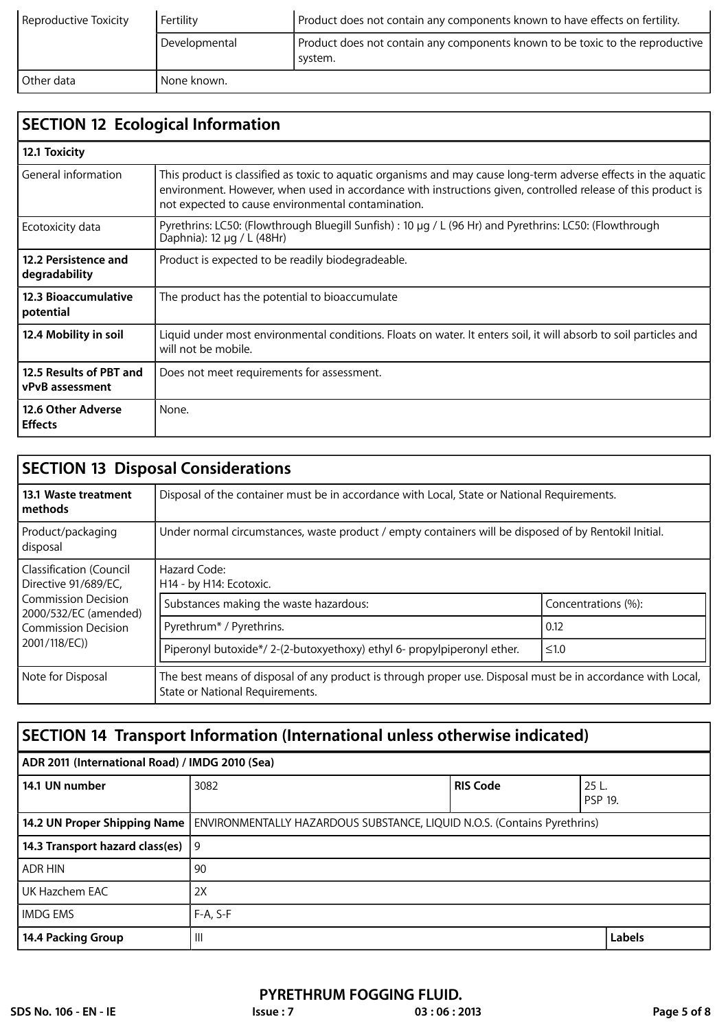| Reproductive Toxicity | l Fertilitv   | Product does not contain any components known to have effects on fertility.              |
|-----------------------|---------------|------------------------------------------------------------------------------------------|
|                       | Developmental | Product does not contain any components known to be toxic to the reproductive<br>system. |
| l Other data          | l None known. |                                                                                          |

| <b>SECTION 12 Ecological Information</b>   |                                                                                                                                                                                                                                                                                       |  |
|--------------------------------------------|---------------------------------------------------------------------------------------------------------------------------------------------------------------------------------------------------------------------------------------------------------------------------------------|--|
| 12.1 Toxicity                              |                                                                                                                                                                                                                                                                                       |  |
| General information                        | This product is classified as toxic to aquatic organisms and may cause long-term adverse effects in the aquatic<br>environment. However, when used in accordance with instructions given, controlled release of this product is<br>not expected to cause environmental contamination. |  |
| Ecotoxicity data                           | Pyrethrins: LC50: (Flowthrough Bluegill Sunfish) : 10 µg / L (96 Hr) and Pyrethrins: LC50: (Flowthrough<br>Daphnia): 12 µg / L (48Hr)                                                                                                                                                 |  |
| 12.2 Persistence and<br>degradability      | Product is expected to be readily biodegradeable.                                                                                                                                                                                                                                     |  |
| 12.3 Bioaccumulative<br>potential          | The product has the potential to bioaccumulate                                                                                                                                                                                                                                        |  |
| 12.4 Mobility in soil                      | Liquid under most environmental conditions. Floats on water. It enters soil, it will absorb to soil particles and<br>will not be mobile.                                                                                                                                              |  |
| 12.5 Results of PBT and<br>vPvB assessment | Does not meet requirements for assessment.                                                                                                                                                                                                                                            |  |
| 12.6 Other Adverse<br><b>Effects</b>       | None.                                                                                                                                                                                                                                                                                 |  |

| <b>SECTION 13 Disposal Considerations</b>                                                                                                             |                                                                                                                                                |                     |  |
|-------------------------------------------------------------------------------------------------------------------------------------------------------|------------------------------------------------------------------------------------------------------------------------------------------------|---------------------|--|
| 13.1 Waste treatment<br>methods                                                                                                                       | Disposal of the container must be in accordance with Local, State or National Requirements.                                                    |                     |  |
| Product/packaging<br>disposal                                                                                                                         | Under normal circumstances, waste product / empty containers will be disposed of by Rentokil Initial.                                          |                     |  |
| Classification (Council<br>Directive 91/689/EC.<br><b>Commission Decision</b><br>2000/532/EC (amended)<br><b>Commission Decision</b><br>2001/118/EC)) | Hazard Code:<br>H <sub>14</sub> - by H <sub>14</sub> : Ecotoxic.                                                                               |                     |  |
|                                                                                                                                                       | Substances making the waste hazardous:                                                                                                         | Concentrations (%): |  |
|                                                                                                                                                       | Pyrethrum <sup>*</sup> / Pyrethrins.                                                                                                           | 0.12                |  |
|                                                                                                                                                       | Piperonyl butoxide*/ 2-(2-butoxyethoxy) ethyl 6- propylpiperonyl ether.                                                                        | $≤1.0$              |  |
| Note for Disposal                                                                                                                                     | The best means of disposal of any product is through proper use. Disposal must be in accordance with Local,<br>State or National Requirements. |                     |  |

| SECTION 14 Transport Information (International unless otherwise indicated) |                                                                          |                 |                        |  |
|-----------------------------------------------------------------------------|--------------------------------------------------------------------------|-----------------|------------------------|--|
| ADR 2011 (International Road) / IMDG 2010 (Sea)                             |                                                                          |                 |                        |  |
| 14.1 UN number                                                              | 3082                                                                     | <b>RIS Code</b> | 25 L<br><b>PSP 19.</b> |  |
| 14.2 UN Proper Shipping Name                                                | ENVIRONMENTALLY HAZARDOUS SUBSTANCE, LIQUID N.O.S. (Contains Pyrethrins) |                 |                        |  |
| 14.3 Transport hazard class(es)                                             | 9                                                                        |                 |                        |  |
| <b>ADR HIN</b>                                                              | 90                                                                       |                 |                        |  |
| UK Hazchem EAC                                                              | 2X                                                                       |                 |                        |  |
| <b>IMDG EMS</b>                                                             | $F-A, S-F$                                                               |                 |                        |  |
| 14.4 Packing Group                                                          | <b>Labels</b><br>$\mathbf{  }$                                           |                 |                        |  |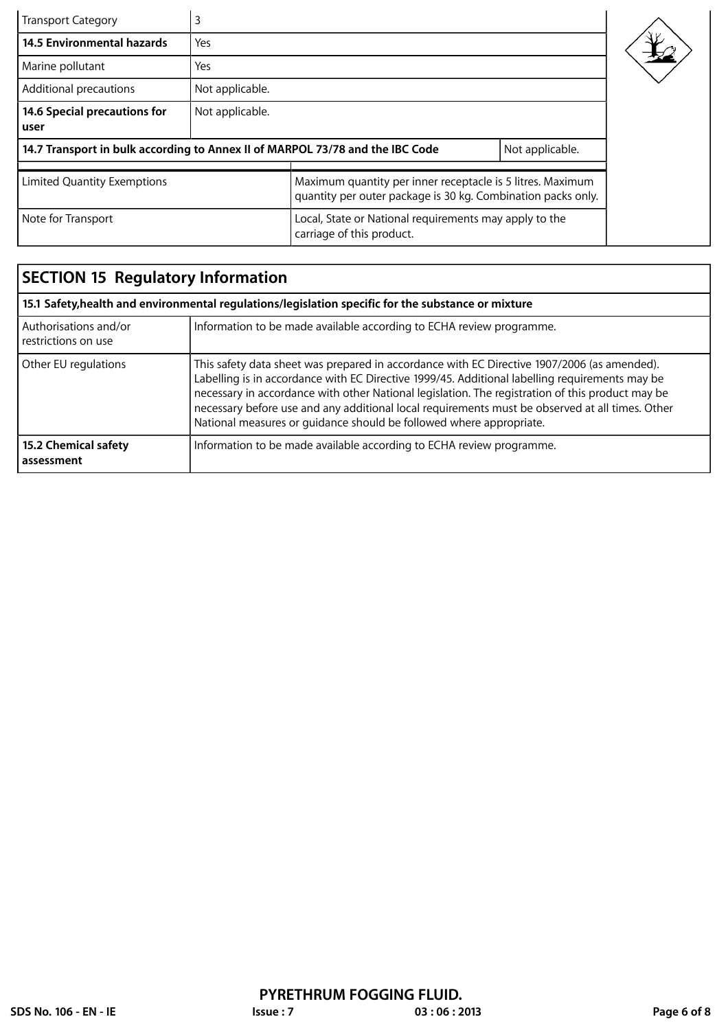| <b>Transport Category</b>                                                     | 3               |                                                                                                                            |                 |  |
|-------------------------------------------------------------------------------|-----------------|----------------------------------------------------------------------------------------------------------------------------|-----------------|--|
| <b>14.5 Environmental hazards</b>                                             | Yes             |                                                                                                                            |                 |  |
| Marine pollutant                                                              | Yes             |                                                                                                                            |                 |  |
| Additional precautions                                                        | Not applicable. |                                                                                                                            |                 |  |
| 14.6 Special precautions for<br>user                                          | Not applicable. |                                                                                                                            |                 |  |
| 14.7 Transport in bulk according to Annex II of MARPOL 73/78 and the IBC Code |                 |                                                                                                                            | Not applicable. |  |
| <b>Limited Quantity Exemptions</b>                                            |                 | Maximum quantity per inner receptacle is 5 litres. Maximum<br>quantity per outer package is 30 kg. Combination packs only. |                 |  |
| Note for Transport                                                            |                 | Local, State or National requirements may apply to the<br>carriage of this product.                                        |                 |  |

| <b>SECTION 15 Regulatory Information</b>                                                            |                                                                                                                                                                                                                                                                                                                                                                                                                                                                             |  |
|-----------------------------------------------------------------------------------------------------|-----------------------------------------------------------------------------------------------------------------------------------------------------------------------------------------------------------------------------------------------------------------------------------------------------------------------------------------------------------------------------------------------------------------------------------------------------------------------------|--|
| 15.1 Safety, health and environmental regulations/legislation specific for the substance or mixture |                                                                                                                                                                                                                                                                                                                                                                                                                                                                             |  |
| Authorisations and/or<br>restrictions on use                                                        | Information to be made available according to ECHA review programme.                                                                                                                                                                                                                                                                                                                                                                                                        |  |
| Other EU regulations                                                                                | This safety data sheet was prepared in accordance with EC Directive 1907/2006 (as amended).<br>Labelling is in accordance with EC Directive 1999/45. Additional labelling requirements may be<br>necessary in accordance with other National legislation. The registration of this product may be<br>necessary before use and any additional local requirements must be observed at all times. Other<br>National measures or guidance should be followed where appropriate. |  |
| 15.2 Chemical safety<br>assessment                                                                  | Information to be made available according to ECHA review programme.                                                                                                                                                                                                                                                                                                                                                                                                        |  |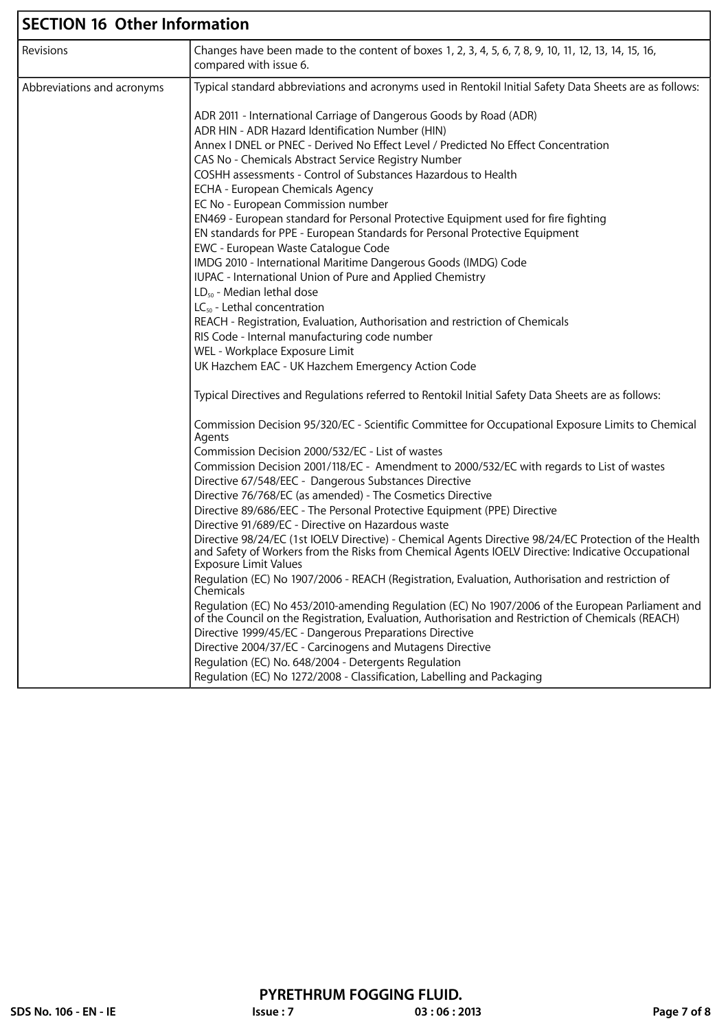| <b>SECTION 16 Other Information</b> |                                                                                                                                                                                                                                                                                                                                                                                                                                                                                                                                                                                                                                                                                                                                                                                                                                                                                                                                                                                                           |  |
|-------------------------------------|-----------------------------------------------------------------------------------------------------------------------------------------------------------------------------------------------------------------------------------------------------------------------------------------------------------------------------------------------------------------------------------------------------------------------------------------------------------------------------------------------------------------------------------------------------------------------------------------------------------------------------------------------------------------------------------------------------------------------------------------------------------------------------------------------------------------------------------------------------------------------------------------------------------------------------------------------------------------------------------------------------------|--|
| Revisions                           | Changes have been made to the content of boxes 1, 2, 3, 4, 5, 6, 7, 8, 9, 10, 11, 12, 13, 14, 15, 16,<br>compared with issue 6.                                                                                                                                                                                                                                                                                                                                                                                                                                                                                                                                                                                                                                                                                                                                                                                                                                                                           |  |
| Abbreviations and acronyms          | Typical standard abbreviations and acronyms used in Rentokil Initial Safety Data Sheets are as follows:                                                                                                                                                                                                                                                                                                                                                                                                                                                                                                                                                                                                                                                                                                                                                                                                                                                                                                   |  |
|                                     | ADR 2011 - International Carriage of Dangerous Goods by Road (ADR)<br>ADR HIN - ADR Hazard Identification Number (HIN)<br>Annex I DNEL or PNEC - Derived No Effect Level / Predicted No Effect Concentration<br>CAS No - Chemicals Abstract Service Registry Number<br>COSHH assessments - Control of Substances Hazardous to Health<br>ECHA - European Chemicals Agency<br>EC No - European Commission number<br>EN469 - European standard for Personal Protective Equipment used for fire fighting<br>EN standards for PPE - European Standards for Personal Protective Equipment<br>EWC - European Waste Catalogue Code<br>IMDG 2010 - International Maritime Dangerous Goods (IMDG) Code<br>IUPAC - International Union of Pure and Applied Chemistry<br>LD <sub>50</sub> - Median lethal dose<br>$LC_{50}$ - Lethal concentration<br>REACH - Registration, Evaluation, Authorisation and restriction of Chemicals<br>RIS Code - Internal manufacturing code number<br>WEL - Workplace Exposure Limit |  |
|                                     | UK Hazchem EAC - UK Hazchem Emergency Action Code                                                                                                                                                                                                                                                                                                                                                                                                                                                                                                                                                                                                                                                                                                                                                                                                                                                                                                                                                         |  |
|                                     | Typical Directives and Regulations referred to Rentokil Initial Safety Data Sheets are as follows:                                                                                                                                                                                                                                                                                                                                                                                                                                                                                                                                                                                                                                                                                                                                                                                                                                                                                                        |  |
|                                     | Commission Decision 95/320/EC - Scientific Committee for Occupational Exposure Limits to Chemical<br>Agents<br>Commission Decision 2000/532/EC - List of wastes                                                                                                                                                                                                                                                                                                                                                                                                                                                                                                                                                                                                                                                                                                                                                                                                                                           |  |
|                                     | Commission Decision 2001/118/EC - Amendment to 2000/532/EC with regards to List of wastes<br>Directive 67/548/EEC - Dangerous Substances Directive<br>Directive 76/768/EC (as amended) - The Cosmetics Directive<br>Directive 89/686/EEC - The Personal Protective Equipment (PPE) Directive                                                                                                                                                                                                                                                                                                                                                                                                                                                                                                                                                                                                                                                                                                              |  |
|                                     | Directive 91/689/EC - Directive on Hazardous waste<br>Directive 98/24/EC (1st IOELV Directive) - Chemical Agents Directive 98/24/EC Protection of the Health<br>and Safety of Workers from the Risks from Chemical Agents IOELV Directive: Indicative Occupational<br><b>Exposure Limit Values</b>                                                                                                                                                                                                                                                                                                                                                                                                                                                                                                                                                                                                                                                                                                        |  |
|                                     | Regulation (EC) No 1907/2006 - REACH (Registration, Evaluation, Authorisation and restriction of<br>Chemicals<br>Regulation (EC) No 453/2010-amending Regulation (EC) No 1907/2006 of the European Parliament and                                                                                                                                                                                                                                                                                                                                                                                                                                                                                                                                                                                                                                                                                                                                                                                         |  |
|                                     | of the Council on the Registration, Evaluation, Authorisation and Restriction of Chemicals (REACH)<br>Directive 1999/45/EC - Dangerous Preparations Directive<br>Directive 2004/37/EC - Carcinogens and Mutagens Directive<br>Regulation (EC) No. 648/2004 - Detergents Regulation<br>Regulation (EC) No 1272/2008 - Classification, Labelling and Packaging                                                                                                                                                                                                                                                                                                                                                                                                                                                                                                                                                                                                                                              |  |